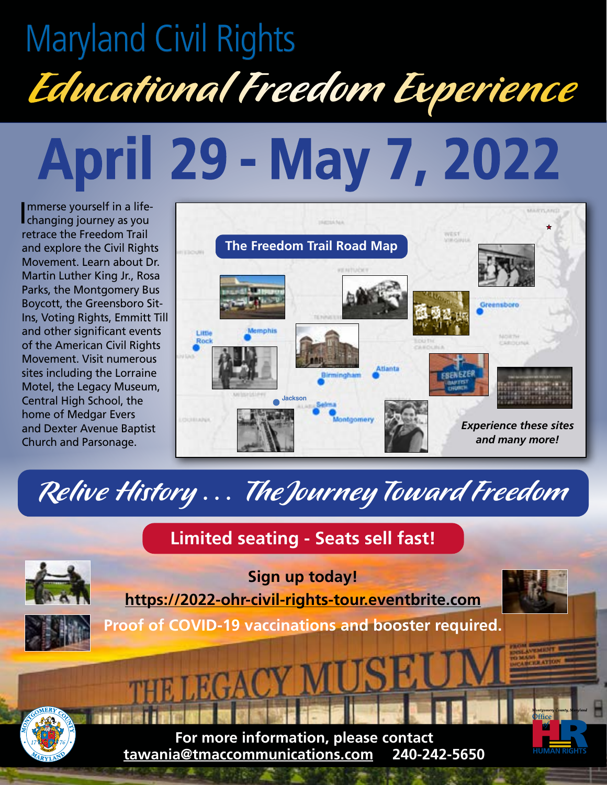# Maryland Civil Rights Educational Freedom Experience

# **April 29 - May 7, 2022**

Immerse yourself in a life-<br>I changing journey as you mmerse yourself in a liferetrace the Freedom Trail and explore the Civil Rights Movement. Learn about Dr. Martin Luther King Jr., Rosa Parks, the Montgomery Bus Boycott, the Greensboro Sit-Ins, Voting Rights, Emmitt Till and other significant events of the American Civil Rights Movement. Visit numerous sites including the Lorraine Motel, the Legacy Museum, Central High School, the home of Medgar Evers and Dexter Avenue Baptist Church and Parsonage.



Relive History . . . TheJourney Toward Freedom

### **Limited seating - Seats sell fast!**



**Sign up today! https://2022-ohr-civil-rights-tour.eventbrite.com**

**Proof of COVID-19 vaccinations and booster required.**

**JE LEGACY MUSE** 



**For more information, please contact tawania@tmaccommunications.com 240-242-5650**